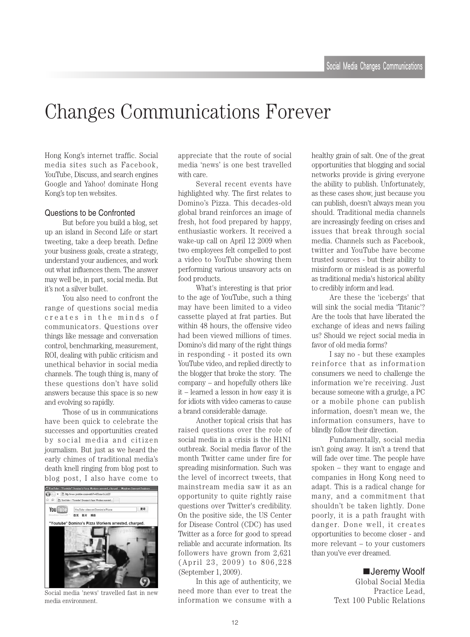# Changes Communications Forever

Hong Kong's internet traffic. Social media sites such as Facebook, YouTube, Discuss, and search engines Google and Yahoo! dominate Hong Kong's top ten websites.

#### Questions to be Confronted

But before you build a blog, set up an island in Second Life or start tweeting, take a deep breath. Define your business goals, create a strategy, understand your audiences, and work out what influences them. The answer may well be, in part, social media. But it's not a silver bullet.

You also need to confront the range of questions social media creates in the minds of communicators. Questions over things like message and conversation control, benchmarking, measurement, ROI, dealing with public criticism and unethical behavior in social media channels. The tough thing is, many of these questions don't have solid answers because this space is so new and evolving so rapidly.

Those of us in communications have been quick to celebrate the successes and opportunities created by social media and citizen journalism. But just as we heard the early chimes of traditional media's death knell ringing from blog post to blog post, I also have come to



Social media 'news' travelled fast in new media environment.

appreciate that the route of social media 'news' is one best travelled with care.

Several recent events have highlighted why. The first relates to Domino's Pizza. This decades-old global brand reinforces an image of fresh, hot food prepared by happy, enthusiastic workers. It received a wake-up call on April 12 2009 when two employees felt compelled to post a video to YouTube showing them performing various unsavory acts on food products.

What's interesting is that prior to the age of YouTube, such a thing may have been limited to a video cassette played at frat parties. But within 48 hours, the offensive video had been viewed millions of times. Domino's did many of the right things in responding - it posted its own YouTube video, and replied directly to the blogger that broke the story. The  $\epsilon$  company – and hopefully others like  $it$  – learned a lesson in how easy it is for idiots with video cameras to cause a brand considerable damage.

Another topical crisis that has raised questions over the role of social media in a crisis is the  $H1N1$ outbreak. Social media flavor of the month Twitter came under fire for spreading misinformation. Such was the level of incorrect tweets, that mainstream media saw it as an opportunity to quite rightly raise questions over Twitter's credibility. On the positive side, the US Center for Disease Control (CDC) has used Twitter as a force for good to spread reliable and accurate information. Its followers have grown from  $2,621$  $(April 23, 2009)$  to  $806,228$ (September 1, 2009).

In this age of authenticity, we need more than ever to treat the information we consume with a healthy grain of salt. One of the great opportunities that blogging and social networks provide is giving everyone the ability to publish. Unfortunately, as these cases show, just because you can publish, doesn't always mean you should. Traditional media channels are increasingly feeding on crises and issues that break through social media. Channels such as Facebook, twitter and YouTube have become trusted sources - but their ability to misinform or mislead is as powerful as traditional media's historical ability to credibly inform and lead.

Are these the 'icebergs' that will sink the social media 'Titanic'? Are the tools that have liberated the exchange of ideas and news failing us? Should we reject social media in favor of old media forms?

I say no - but these examples reinforce that as information consumers we need to challenge the information we're receiving. Just because someone with a grudge, a PC or a mobile phone can publish information, doesn't mean we, the information consumers, have to blindly follow their direction.

Fundamentally, social media isn't going away. It isn't a trend that will fade over time. The people have spoken – they want to engage and companies in Hong Kong need to adapt. This is a radical change for many, and a commitment that shouldn't be taken lightly. Done poorly, it is a path fraught with danger. Done well, it creates opportunities to become closer - and more relevant  $-$  to your customers than you've ever dreamed.

#### ■Jeremy Woolf

Global Social Media Practice Lead. Text 100 Public Relations